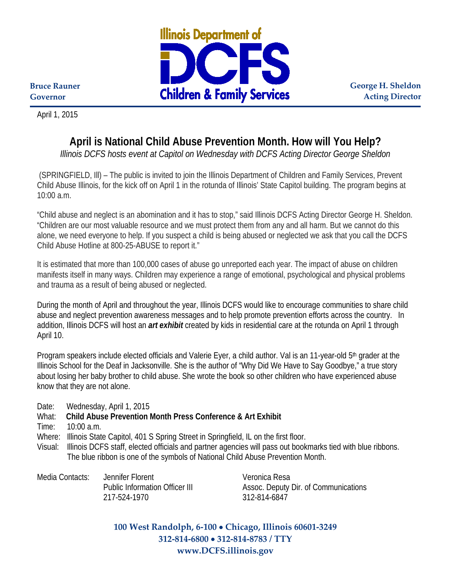

**George H. Sheldon Acting Director**

**Bruce Rauner Governor**

April 1, 2015

## **April is National Child Abuse Prevention Month. How will You Help?**

*Illinois DCFS hosts event at Capitol on Wednesday with DCFS Acting Director George Sheldon*

(SPRINGFIELD, Ill) – The public is invited to join the Illinois Department of Children and Family Services, Prevent Child Abuse Illinois, for the kick off on April 1 in the rotunda of Illinois' State Capitol building. The program begins at 10:00 a.m.

"Child abuse and neglect is an abomination and it has to stop," said Illinois DCFS Acting Director George H. Sheldon. "Children are our most valuable resource and we must protect them from any and all harm. But we cannot do this alone, we need everyone to help. If you suspect a child is being abused or neglected we ask that you call the DCFS Child Abuse Hotline at 800-25-ABUSE to report it."

It is estimated that more than 100,000 cases of abuse go unreported each year. The impact of abuse on children manifests itself in many ways. Children may experience a range of emotional, psychological and physical problems and trauma as a result of being abused or neglected.

During the month of April and throughout the year, Illinois DCFS would like to encourage communities to share child abuse and neglect prevention awareness messages and to help promote prevention efforts across the country. In addition, Illinois DCFS will host an *art exhibit* created by kids in residential care at the rotunda on April 1 through April 10.

Program speakers include elected officials and Valerie Eyer, a child author. Val is an 11-year-old 5<sup>th</sup> grader at the Illinois School for the Deaf in Jacksonville. She is the author of "Why Did We Have to Say Goodbye," a true story about losing her baby brother to child abuse. She wrote the book so other children who have experienced abuse know that they are not alone.

Date: Wednesday, April 1, 2015

What: **Child Abuse Prevention Month Press Conference & Art Exhibit** 

Time: 10:00 a.m.

Where: Illinois State Capitol, 401 S Spring Street in Springfield, IL on the first floor.

Visual: Illinois DCFS staff, elected officials and partner agencies will pass out bookmarks tied with blue ribbons. The blue ribbon is one of the symbols of National Child Abuse Prevention Month.

Media Contacts: Jennifer Florent Veronica Resa 217-524-1970 312-814-6847

Public Information Officer III Assoc. Deputy Dir. of Communications

**100 West Randolph, 6-100** • **Chicago, Illinois 60601-3249 312-814-6800** • **312-814-8783 / TTY www.DCFS.illinois.gov**